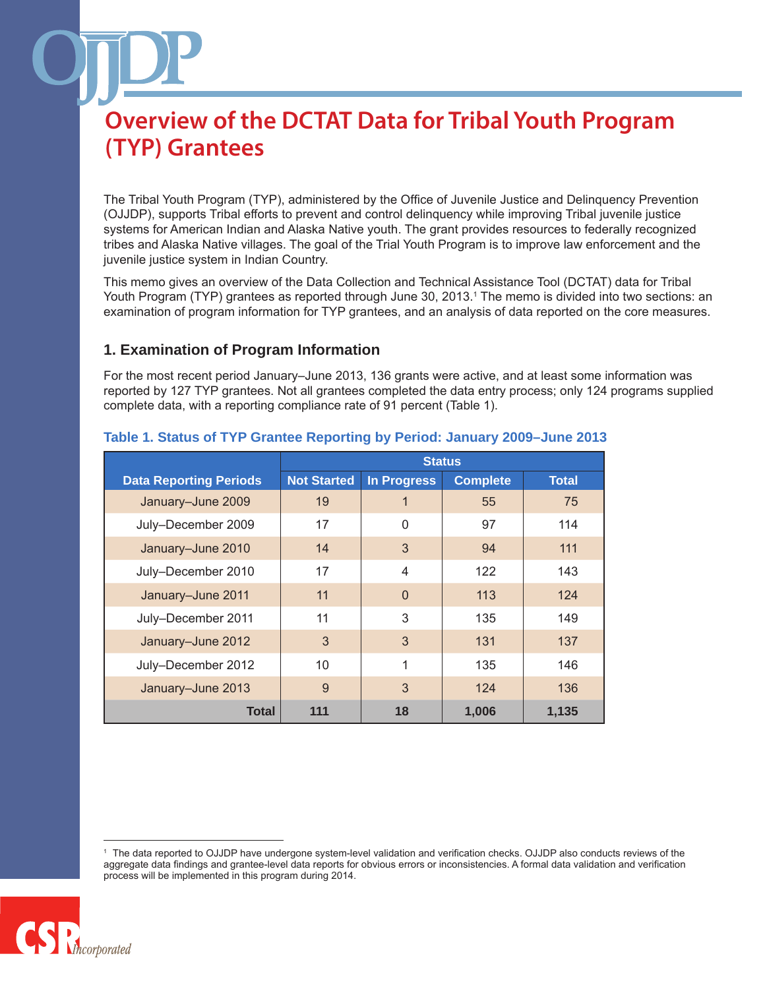The Tribal Youth Program (TYP), administered by the Office of Juvenile Justice and Delinquency Prevention (OJJDP), supports Tribal efforts to prevent and control delinquency while improving Tribal juvenile justice systems for American Indian and Alaska Native youth. The grant provides resources to federally recognized tribes and Alaska Native villages. The goal of the Trial Youth Program is to improve law enforcement and the juvenile justice system in Indian Country.

This memo gives an overview of the Data Collection and Technical Assistance Tool (DCTAT) data for Tribal Youth Program (TYP) grantees as reported through June 30, 2013.1 The memo is divided into two sections: an examination of program information for TYP grantees, and an analysis of data reported on the core measures.

### **1. Examination of Program Information**

For the most recent period January–June 2013, 136 grants were active, and at least some information was reported by 127 TYP grantees. Not all grantees completed the data entry process; only 124 programs supplied complete data, with a reporting compliance rate of 91 percent (Table 1).

|                               | <b>Status</b>      |                    |                 |              |
|-------------------------------|--------------------|--------------------|-----------------|--------------|
| <b>Data Reporting Periods</b> | <b>Not Started</b> | <b>In Progress</b> | <b>Complete</b> | <b>Total</b> |
| January-June 2009             | 19                 |                    | 55              | 75           |
| July-December 2009            | 17                 | $\Omega$           | 97              | 114          |
| January-June 2010             | 14                 | 3                  | 94              | 111          |
| July-December 2010            | 17                 | 4                  | 122             | 143          |
| January-June 2011             | 11                 | $\Omega$           | 113             | 124          |
| July-December 2011            | 11                 | 3                  | 135             | 149          |
| January-June 2012             | 3                  | 3                  | 131             | 137          |
| July-December 2012            | 10                 | 1                  | 135             | 146          |
| January-June 2013             | 9                  | 3                  | 124             | 136          |
| Total                         | 111                | 18                 | 1,006           | 1,135        |

### **Table 1. Status of TYP Grantee Reporting by Period: January 2009–June 2013**

<sup>1</sup> The data reported to OJJDP have undergone system-level validation and verification checks. OJJDP also conducts reviews of the aggregate data findings and grantee-level data reports for obvious errors or inconsistencies. A formal data validation and verification process will be implemented in this program during 2014.

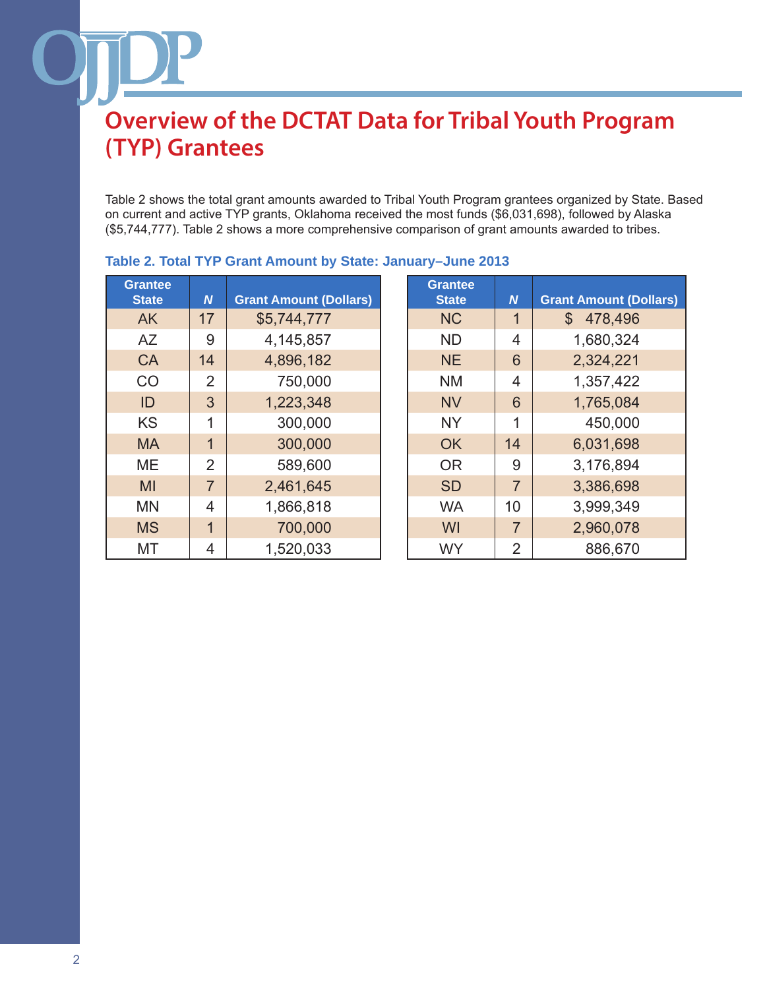Table 2 shows the total grant amounts awarded to Tribal Youth Program grantees organized by State. Based on current and active TYP grants, Oklahoma received the most funds (\$6,031,698), followed by Alaska (\$5,744,777). Table 2 shows a more comprehensive comparison of grant amounts awarded to tribes.

| <b>Grantee</b> |                |                               | <b>Grantee</b> |                  |                        |
|----------------|----------------|-------------------------------|----------------|------------------|------------------------|
| <b>State</b>   | N              | <b>Grant Amount (Dollars)</b> | <b>State</b>   | $\boldsymbol{N}$ | <b>Grant Amount (D</b> |
| <b>AK</b>      | 17             | \$5,744,777                   | <b>NC</b>      | 1                | 478,496<br>\$.         |
| AZ             | 9              | 4,145,857                     | <b>ND</b>      | 4                | 1,680,324              |
| <b>CA</b>      | 14             | 4,896,182                     | <b>NE</b>      | 6                | 2,324,221              |
| CO             | 2              | 750,000                       | <b>NM</b>      | 4                | 1,357,422              |
| ID             | 3              | 1,223,348                     | <b>NV</b>      | 6                | 1,765,084              |
| <b>KS</b>      | 1              | 300,000                       | <b>NY</b>      | 1                | 450,000                |
| <b>MA</b>      | 1              | 300,000                       | <b>OK</b>      | 14               | 6,031,698              |
| ME             | 2              | 589,600                       | <b>OR</b>      | 9                | 3,176,894              |
| MI             | $\overline{7}$ | 2,461,645                     | <b>SD</b>      | $\overline{7}$   | 3,386,698              |
| <b>MN</b>      | 4              | 1,866,818                     | <b>WA</b>      | 10               | 3,999,349              |
| <b>MS</b>      | 1              | 700,000                       | WI             | $\overline{7}$   | 2,960,078              |
| МT             | 4              | 1,520,033                     | <b>WY</b>      | 2                | 886,670                |
|                |                |                               |                |                  |                        |

### **Table 2. Total TYP Grant Amount by State: January–June 2013**

| <b>Grantee</b><br><b>State</b> | N              | <b>Grant Amount (Dollars)</b> |
|--------------------------------|----------------|-------------------------------|
| <b>NC</b>                      | $\mathbf{1}$   | \$<br>478,496                 |
| ND                             | 4              | 1,680,324                     |
| <b>NE</b>                      | 6              | 2,324,221                     |
| ΝM                             | $\overline{4}$ | 1,357,422                     |
| NV                             | 6              | 1,765,084                     |
| <b>NY</b>                      | 1              | 450,000                       |
| <b>OK</b>                      | 14             | 6,031,698                     |
| <b>OR</b>                      | 9              | 3,176,894                     |
| <b>SD</b>                      | $\overline{7}$ | 3,386,698                     |
| WA                             | 10             | 3,999,349                     |
| WI                             | $\overline{7}$ | 2,960,078                     |
| WY                             | $\overline{2}$ | 886,670                       |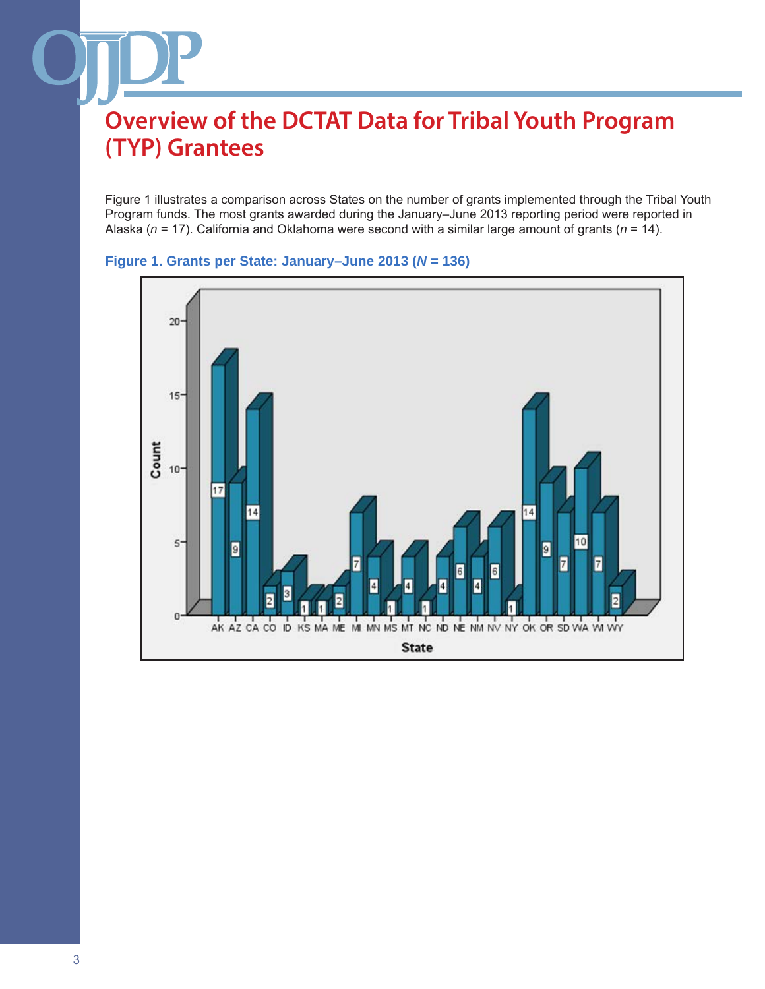Figure 1 illustrates a comparison across States on the number of grants implemented through the Tribal Youth Program funds. The most grants awarded during the January–June 2013 reporting period were reported in Alaska (*n* = 17). California and Oklahoma were second with a similar large amount of grants (*n* = 14).



#### **Figure 1. Grants per State: January–June 2013 (***N* **= 136)**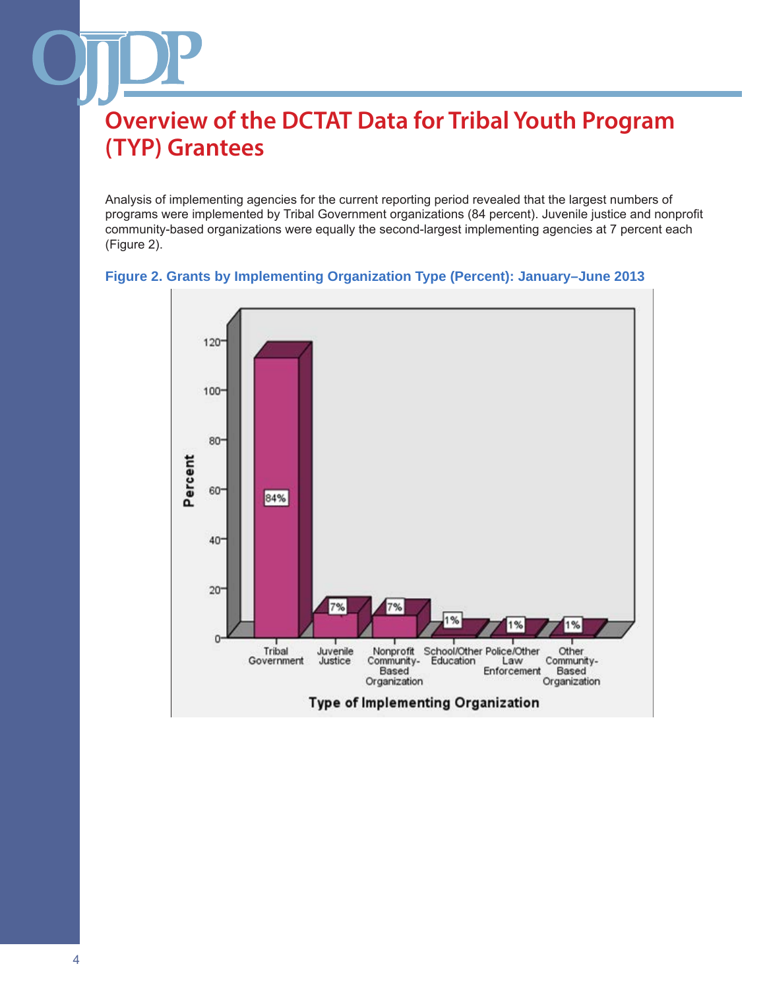Analysis of implementing agencies for the current reporting period revealed that the largest numbers of programs were implemented by Tribal Government organizations (84 percent). Juvenile justice and nonprofit community-based organizations were equally the second-largest implementing agencies at 7 percent each (Figure 2).



#### **Figure 2. Grants by Implementing Organization Type (Percent): January–June 2013**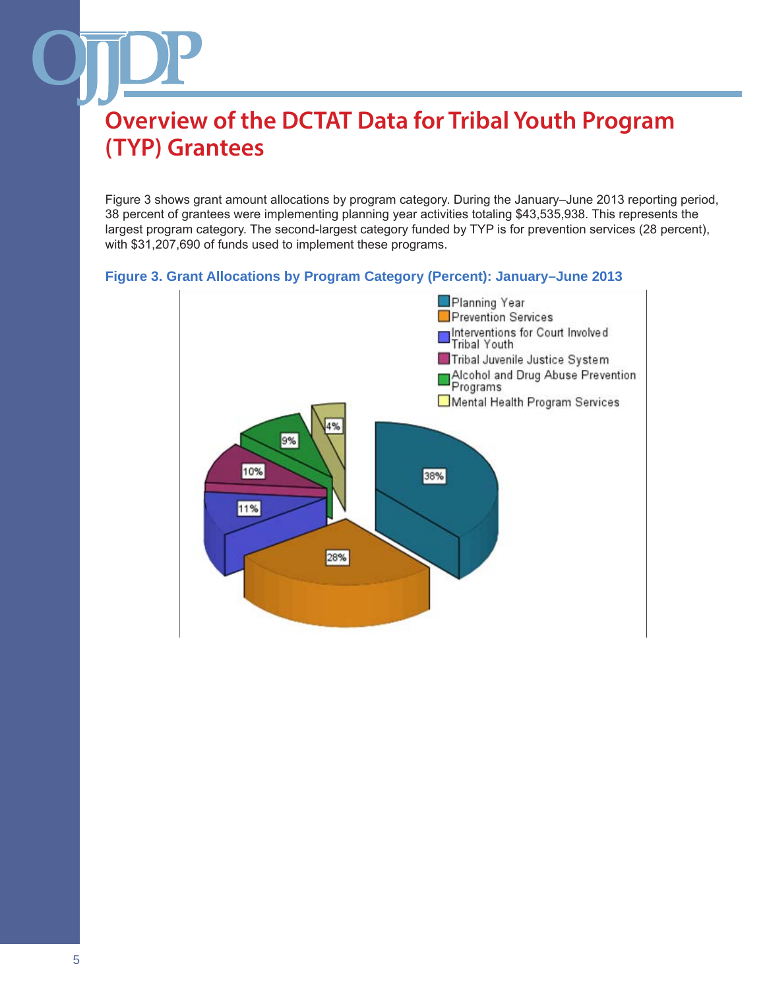Figure 3 shows grant amount allocations by program category. During the January–June 2013 reporting period, 38 percent of grantees were implementing planning year activities totaling \$43,535,938. This represents the largest program category. The second-largest category funded by TYP is for prevention services (28 percent), with \$31,207,690 of funds used to implement these programs.

### **Figure 3. Grant Allocations by Program Category (Percent): January–June 2013**

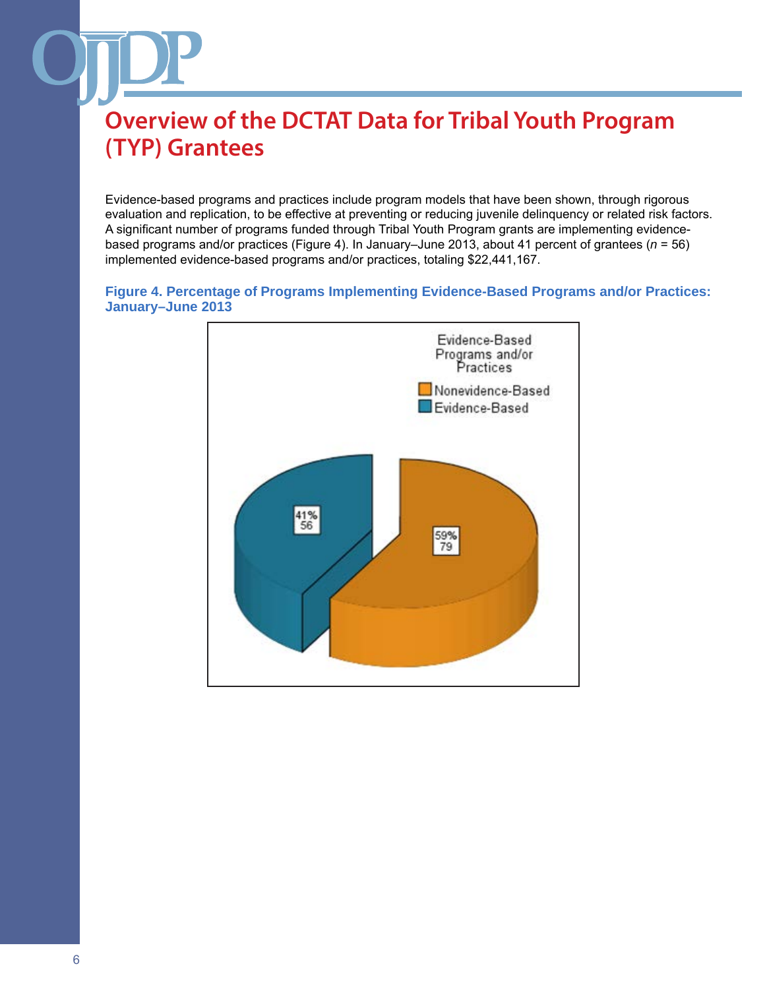Evidence-based programs and practices include program models that have been shown, through rigorous evaluation and replication, to be effective at preventing or reducing juvenile delinquency or related risk factors. A significant number of programs funded through Tribal Youth Program grants are implementing evidencebased programs and/or practices (Figure 4). In January–June 2013, about 41 percent of grantees (*n* = 56) implemented evidence-based programs and/or practices, totaling \$22,441,167.

#### **Figure 4. Percentage of Programs Implementing Evidence-Based Programs and/or Practices: January–June 2013**

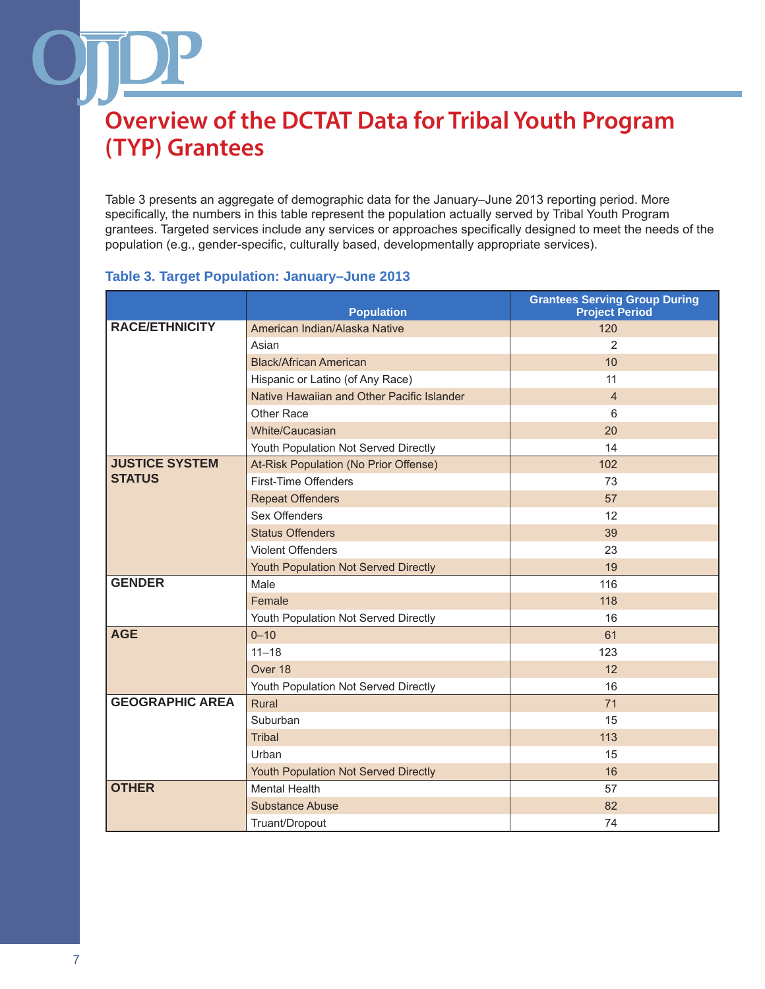Table 3 presents an aggregate of demographic data for the January–June 2013 reporting period. More specifically, the numbers in this table represent the population actually served by Tribal Youth Program grantees. Targeted services include any services or approaches specifically designed to meet the needs of the population (e.g., gender-specific, culturally based, developmentally appropriate services).

### **Table 3. Target Population: January–June 2013**

|                        | <b>Population</b>                          | <b>Grantees Serving Group During</b><br><b>Project Period</b> |
|------------------------|--------------------------------------------|---------------------------------------------------------------|
| <b>RACE/ETHNICITY</b>  | American Indian/Alaska Native              | 120                                                           |
|                        | Asian                                      | $\overline{2}$                                                |
|                        | <b>Black/African American</b>              | 10                                                            |
|                        | Hispanic or Latino (of Any Race)           | 11                                                            |
|                        | Native Hawaiian and Other Pacific Islander | $\overline{4}$                                                |
|                        | Other Race                                 | 6                                                             |
|                        | White/Caucasian                            | 20                                                            |
|                        | Youth Population Not Served Directly       | 14                                                            |
| <b>JUSTICE SYSTEM</b>  | At-Risk Population (No Prior Offense)      | 102                                                           |
| <b>STATUS</b>          | First-Time Offenders                       | 73                                                            |
|                        | <b>Repeat Offenders</b>                    | 57                                                            |
|                        | Sex Offenders                              | 12                                                            |
|                        | <b>Status Offenders</b>                    | 39                                                            |
|                        | <b>Violent Offenders</b>                   | 23                                                            |
|                        | Youth Population Not Served Directly       | 19                                                            |
| <b>GENDER</b>          | Male                                       | 116                                                           |
|                        | Female                                     | 118                                                           |
|                        | Youth Population Not Served Directly       | 16                                                            |
| <b>AGE</b>             | $0 - 10$                                   | 61                                                            |
|                        | $11 - 18$                                  | 123                                                           |
|                        | Over 18                                    | 12                                                            |
|                        | Youth Population Not Served Directly       | 16                                                            |
| <b>GEOGRAPHIC AREA</b> | Rural                                      | 71                                                            |
|                        | Suburban                                   | 15                                                            |
|                        | <b>Tribal</b>                              | 113                                                           |
|                        | Urban                                      | 15                                                            |
|                        | Youth Population Not Served Directly       | 16                                                            |
| <b>OTHER</b>           | <b>Mental Health</b>                       | 57                                                            |
|                        | <b>Substance Abuse</b>                     | 82                                                            |
|                        | Truant/Dropout                             | 74                                                            |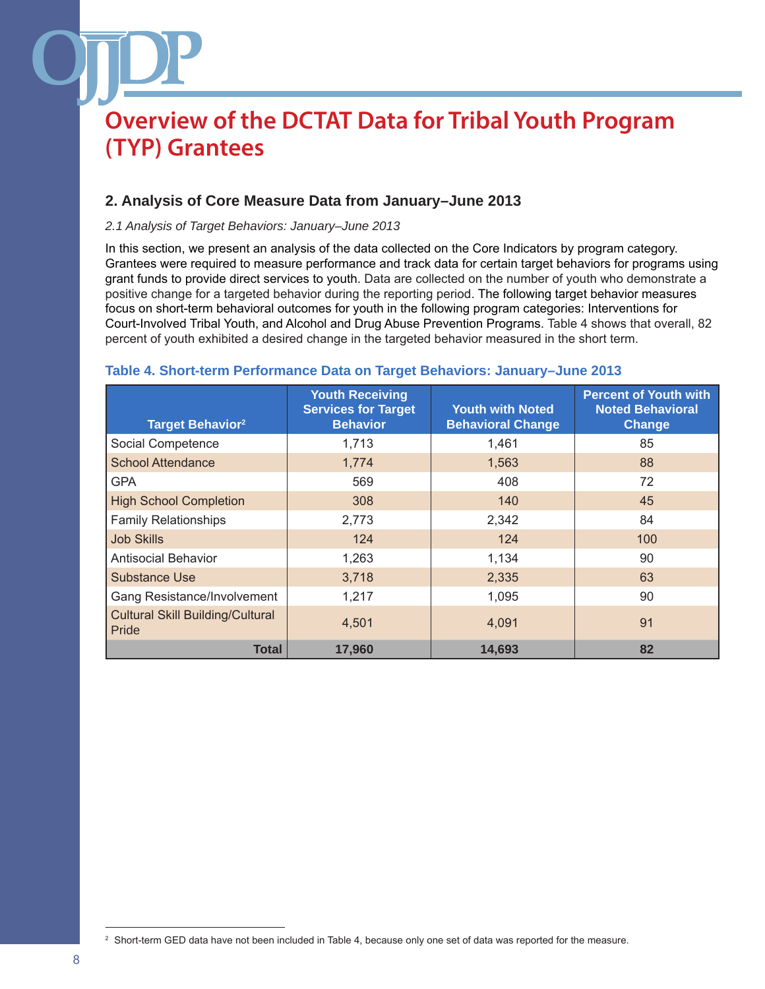### **2. Analysis of Core Measure Data from January–June 2013**

#### *2.1 Analysis of Target Behaviors: January–June 2013*

In this section, we present an analysis of the data collected on the Core Indicators by program category. Grantees were required to measure performance and track data for certain target behaviors for programs using grant funds to provide direct services to youth. Data are collected on the number of youth who demonstrate a positive change for a targeted behavior during the reporting period. The following target behavior measures focus on short-term behavioral outcomes for youth in the following program categories: Interventions for Court-Involved Tribal Youth, and Alcohol and Drug Abuse Prevention Programs. Table 4 shows that overall, 82 percent of youth exhibited a desired change in the targeted behavior measured in the short term.

| <b>Target Behavior</b> <sup>2</sup>              | <b>Youth Receiving</b><br><b>Services for Target</b><br><b>Behavior</b> | <b>Youth with Noted</b><br><b>Behavioral Change</b> | <b>Percent of Youth with</b><br><b>Noted Behavioral</b><br>Change |
|--------------------------------------------------|-------------------------------------------------------------------------|-----------------------------------------------------|-------------------------------------------------------------------|
| Social Competence                                | 1,713                                                                   | 1,461                                               | 85                                                                |
| <b>School Attendance</b>                         | 1,774                                                                   | 1,563                                               | 88                                                                |
| <b>GPA</b>                                       | 569                                                                     | 408                                                 | 72                                                                |
| <b>High School Completion</b>                    | 308                                                                     | 140                                                 | 45                                                                |
| <b>Family Relationships</b>                      | 2,773                                                                   | 2,342                                               | 84                                                                |
| <b>Job Skills</b>                                | 124                                                                     | 124                                                 | 100                                                               |
| <b>Antisocial Behavior</b>                       | 1,263                                                                   | 1,134                                               | 90                                                                |
| <b>Substance Use</b>                             | 3,718                                                                   | 2,335                                               | 63                                                                |
| Gang Resistance/Involvement                      | 1,217                                                                   | 1,095                                               | 90                                                                |
| <b>Cultural Skill Building/Cultural</b><br>Pride | 4,501                                                                   | 4,091                                               | 91                                                                |
| Total                                            | 17,960                                                                  | 14,693                                              | 82                                                                |

#### **Table 4. Short-term Performance Data on Target Behaviors: January–June 2013**

<sup>&</sup>lt;sup>2</sup> Short-term GED data have not been included in Table 4, because only one set of data was reported for the measure.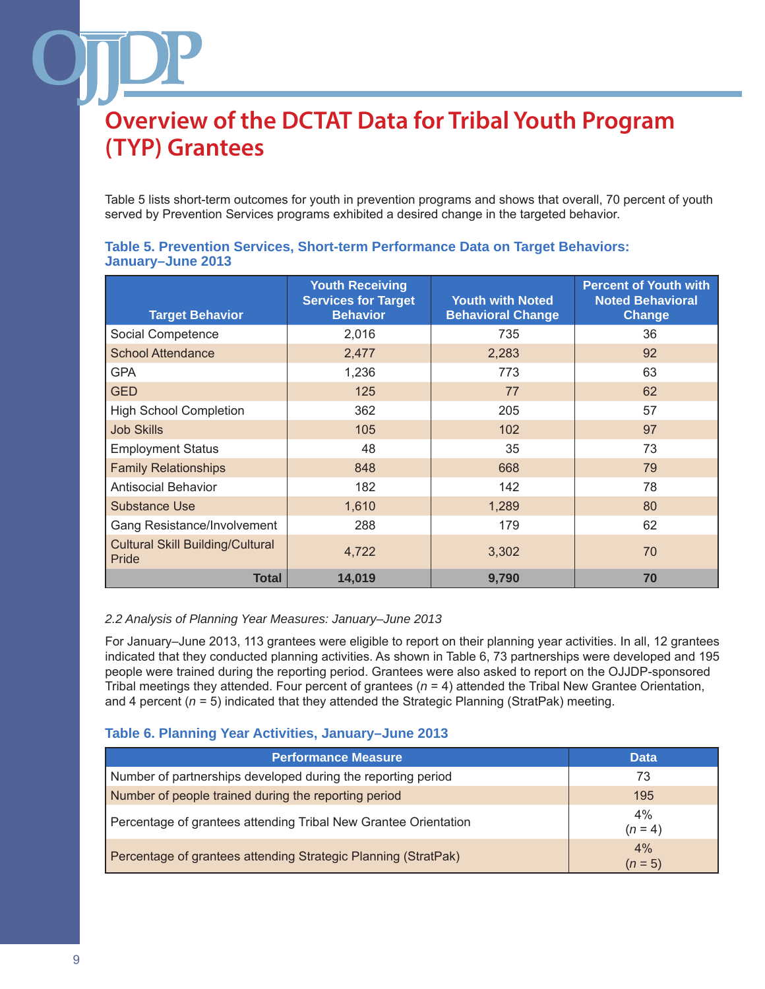Table 5 lists short-term outcomes for youth in prevention programs and shows that overall, 70 percent of youth served by Prevention Services programs exhibited a desired change in the targeted behavior.

| <b>Target Behavior</b>                           | <b>Youth Receiving</b><br><b>Services for Target</b><br><b>Behavior</b> | <b>Youth with Noted</b><br><b>Behavioral Change</b> | <b>Percent of Youth with</b><br><b>Noted Behavioral</b><br><b>Change</b> |
|--------------------------------------------------|-------------------------------------------------------------------------|-----------------------------------------------------|--------------------------------------------------------------------------|
| Social Competence                                | 2,016                                                                   | 735                                                 | 36                                                                       |
| <b>School Attendance</b>                         | 2,477                                                                   | 2,283                                               | 92                                                                       |
| <b>GPA</b>                                       | 1,236                                                                   | 773                                                 | 63                                                                       |
| <b>GED</b>                                       | 125                                                                     | 77                                                  | 62                                                                       |
| <b>High School Completion</b>                    | 362                                                                     | 205                                                 | 57                                                                       |
| <b>Job Skills</b>                                | 105                                                                     | 102                                                 | 97                                                                       |
| <b>Employment Status</b>                         | 48                                                                      | 35                                                  | 73                                                                       |
| <b>Family Relationships</b>                      | 848                                                                     | 668                                                 | 79                                                                       |
| <b>Antisocial Behavior</b>                       | 182                                                                     | 142                                                 | 78                                                                       |
| <b>Substance Use</b>                             | 1,610                                                                   | 1,289                                               | 80                                                                       |
| Gang Resistance/Involvement                      | 288                                                                     | 179                                                 | 62                                                                       |
| <b>Cultural Skill Building/Cultural</b><br>Pride | 4,722                                                                   | 3,302                                               | 70                                                                       |
| <b>Total</b>                                     | 14,019                                                                  | 9,790                                               | 70                                                                       |

### **Table 5. Prevention Services, Short-term Performance Data on Target Behaviors: January–June 2013**

#### *2.2 Analysis of Planning Year Measures: January–June 2013*

For January–June 2013, 113 grantees were eligible to report on their planning year activities. In all, 12 grantees indicated that they conducted planning activities. As shown in Table 6, 73 partnerships were developed and 195 people were trained during the reporting period. Grantees were also asked to report on the OJJDP-sponsored Tribal meetings they attended. Four percent of grantees (*n* = 4) attended the Tribal New Grantee Orientation, and 4 percent ( $n = 5$ ) indicated that they attended the Strategic Planning (StratPak) meeting.

#### **Table 6. Planning Year Activities, January–June 2013**

| <b>Performance Measure</b>                                      | <b>Data</b>        |
|-----------------------------------------------------------------|--------------------|
| Number of partnerships developed during the reporting period    | 73                 |
| Number of people trained during the reporting period            | 195                |
| Percentage of grantees attending Tribal New Grantee Orientation | $4\%$<br>$(n = 4)$ |
| Percentage of grantees attending Strategic Planning (StratPak)  | 4%<br>$(n=5)$      |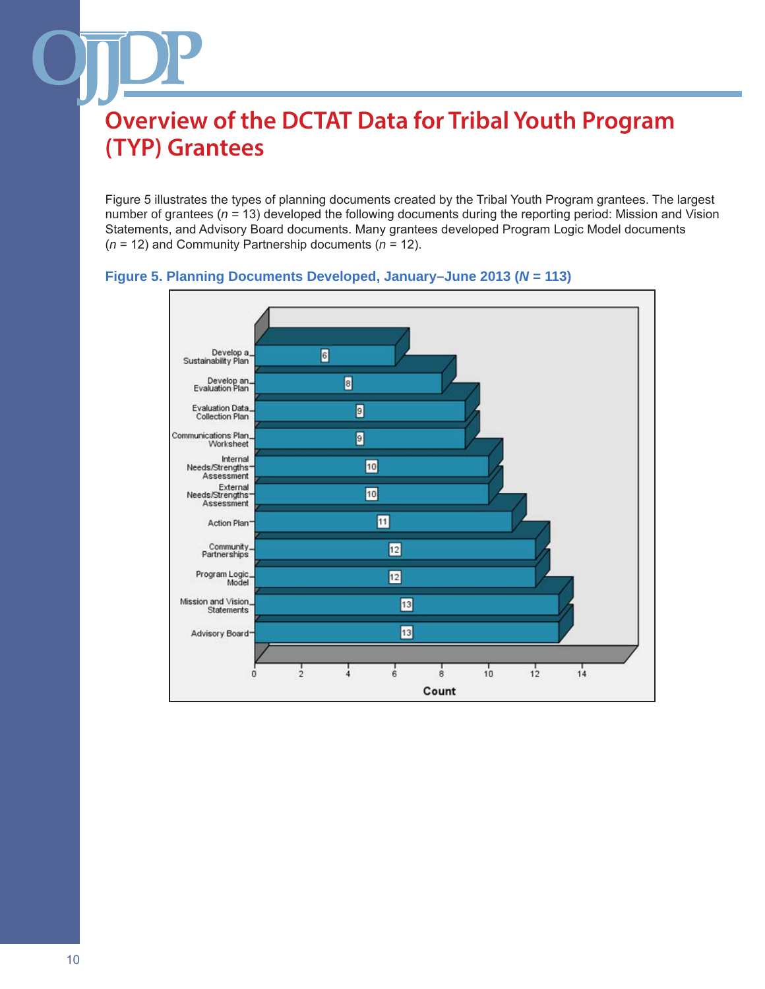Figure 5 illustrates the types of planning documents created by the Tribal Youth Program grantees. The largest number of grantees (*n =* 13) developed the following documents during the reporting period: Mission and Vision Statements, and Advisory Board documents. Many grantees developed Program Logic Model documents (*n* = 12) and Community Partnership documents (*n* = 12).



#### **Figure 5. Planning Documents Developed, January–June 2013 (***N* **= 113)**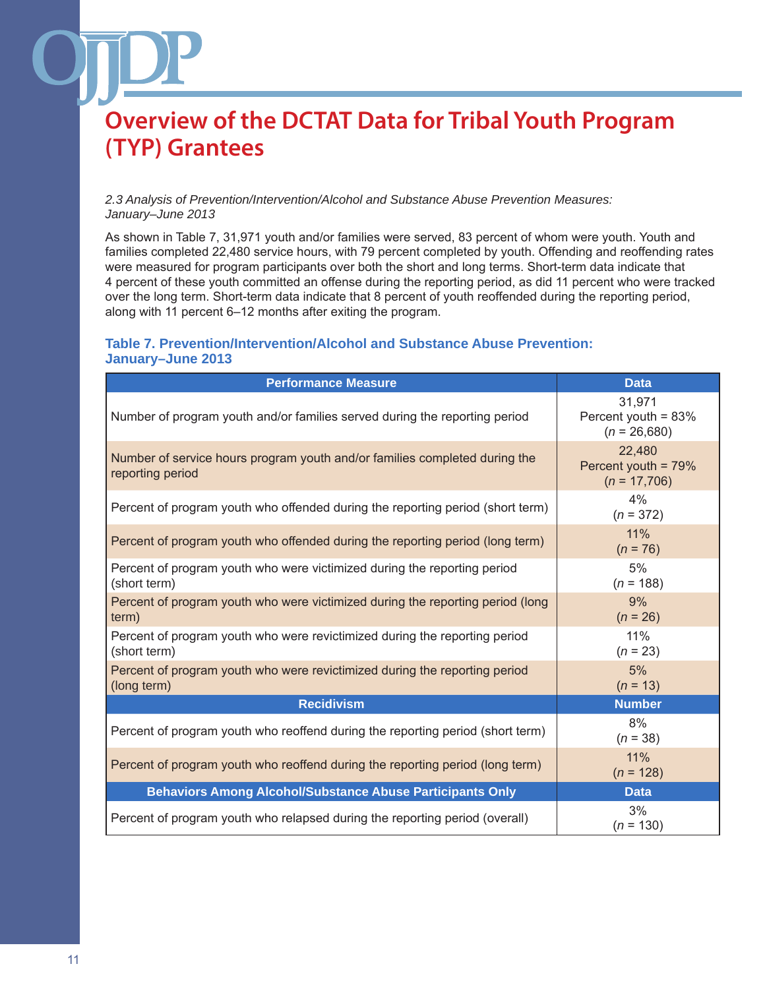#### *2.3 Analysis of Prevention/Intervention/Alcohol and Substance Abuse Prevention Measures: January–June 2013*

As shown in Table 7, 31,971 youth and/or families were served, 83 percent of whom were youth. Youth and families completed 22,480 service hours, with 79 percent completed by youth. Offending and reoffending rates were measured for program participants over both the short and long terms. Short-term data indicate that 4 percent of these youth committed an offense during the reporting period, as did 11 percent who were tracked over the long term. Short-term data indicate that 8 percent of youth reoffended during the reporting period, along with 11 percent 6–12 months after exiting the program.

### **Table 7. Prevention/Intervention/Alcohol and Substance Abuse Prevention: January–June 2013**

| <b>Performance Measure</b>                                                                     | <b>Data</b>                                     |
|------------------------------------------------------------------------------------------------|-------------------------------------------------|
| Number of program youth and/or families served during the reporting period                     | 31,971<br>Percent youth = 83%<br>$(n = 26,680)$ |
| Number of service hours program youth and/or families completed during the<br>reporting period | 22,480<br>Percent youth = 79%<br>$(n = 17,706)$ |
| Percent of program youth who offended during the reporting period (short term)                 | 4%<br>$(n = 372)$                               |
| Percent of program youth who offended during the reporting period (long term)                  | 11%<br>$(n = 76)$                               |
| Percent of program youth who were victimized during the reporting period<br>(short term)       | 5%<br>$(n = 188)$                               |
| Percent of program youth who were victimized during the reporting period (long<br>term)        | 9%<br>$(n = 26)$                                |
| Percent of program youth who were revictimized during the reporting period<br>(short term)     | 11%<br>$(n = 23)$                               |
| Percent of program youth who were revictimized during the reporting period<br>(long term)      | 5%<br>$(n = 13)$                                |
| <b>Recidivism</b>                                                                              | <b>Number</b>                                   |
| Percent of program youth who reoffend during the reporting period (short term)                 | 8%<br>$(n = 38)$                                |
| Percent of program youth who reoffend during the reporting period (long term)                  | 11%<br>$(n = 128)$                              |
| <b>Behaviors Among Alcohol/Substance Abuse Participants Only</b>                               | <b>Data</b>                                     |
| Percent of program youth who relapsed during the reporting period (overall)                    | 3%<br>$(n = 130)$                               |